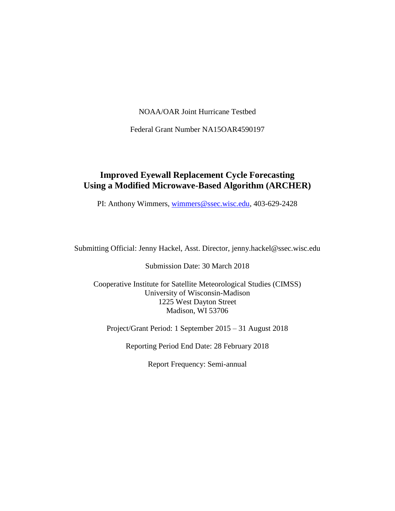NOAA/OAR Joint Hurricane Testbed

Federal Grant Number NA15OAR4590197

### **Improved Eyewall Replacement Cycle Forecasting Using a Modified Microwave-Based Algorithm (ARCHER)**

PI: Anthony Wimmers, [wimmers@ssec.wisc.edu,](mailto:wimmers@ssec.wisc.edu) 403-629-2428

Submitting Official: Jenny Hackel, Asst. Director, jenny.hackel@ssec.wisc.edu

Submission Date: 30 March 2018

Cooperative Institute for Satellite Meteorological Studies (CIMSS) University of Wisconsin-Madison 1225 West Dayton Street Madison, WI 53706

Project/Grant Period: 1 September 2015 – 31 August 2018

Reporting Period End Date: 28 February 2018

Report Frequency: Semi-annual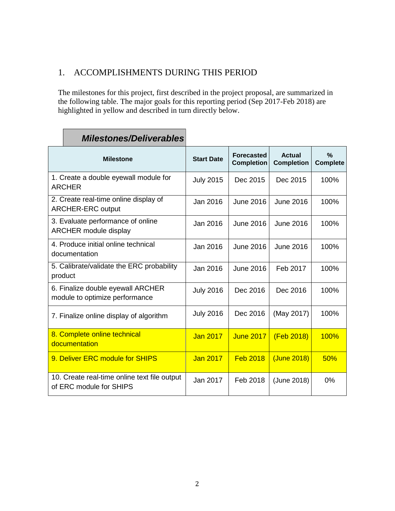# 1. ACCOMPLISHMENTS DURING THIS PERIOD

The milestones for this project, first described in the project proposal, are summarized in the following table. The major goals for this reporting period (Sep 2017-Feb 2018) are highlighted in yellow and described in turn directly below.

| <b>Milestone</b>                                                        | <b>Start Date</b> | <b>Forecasted</b><br><b>Completion</b> | <b>Actual</b><br><b>Completion</b> | $\frac{0}{0}$<br><b>Complete</b> |
|-------------------------------------------------------------------------|-------------------|----------------------------------------|------------------------------------|----------------------------------|
| 1. Create a double eyewall module for<br><b>ARCHER</b>                  | <b>July 2015</b>  | Dec 2015                               | Dec 2015                           | 100%                             |
| 2. Create real-time online display of<br><b>ARCHER-ERC output</b>       | Jan 2016          | <b>June 2016</b>                       | <b>June 2016</b>                   | 100%                             |
| 3. Evaluate performance of online<br><b>ARCHER module display</b>       | Jan 2016          | June 2016                              | June 2016                          | 100%                             |
| 4. Produce initial online technical<br>documentation                    | Jan 2016          | June 2016                              | June 2016                          | 100%                             |
| 5. Calibrate/validate the ERC probability<br>product                    | Jan 2016          | <b>June 2016</b>                       | Feb 2017                           | 100%                             |
| 6. Finalize double eyewall ARCHER<br>module to optimize performance     | <b>July 2016</b>  | Dec 2016                               | Dec 2016                           | 100%                             |
| 7. Finalize online display of algorithm                                 | <b>July 2016</b>  | Dec 2016                               | (May 2017)                         | 100%                             |
| 8. Complete online technical<br>documentation                           | <b>Jan 2017</b>   | <b>June 2017</b>                       | (Feb 2018)                         | <b>100%</b>                      |
| 9. Deliver ERC module for SHIPS                                         | <b>Jan 2017</b>   | <b>Feb 2018</b>                        | (June 2018)                        | 50%                              |
| 10. Create real-time online text file output<br>of ERC module for SHIPS | Jan 2017          | Feb 2018                               | (June 2018)                        | 0%                               |

# *Milestones/Deliverables*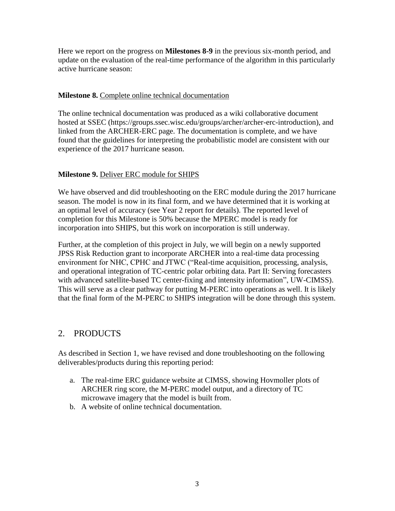Here we report on the progress on **Milestones 8-9** in the previous six-month period, and update on the evaluation of the real-time performance of the algorithm in this particularly active hurricane season:

#### **Milestone 8.** Complete online technical documentation

The online technical documentation was produced as a wiki collaborative document hosted at SSEC (https://groups.ssec.wisc.edu/groups/archer/archer-erc-introduction), and linked from the ARCHER-ERC page. The documentation is complete, and we have found that the guidelines for interpreting the probabilistic model are consistent with our experience of the 2017 hurricane season.

#### **Milestone 9.** Deliver ERC module for SHIPS

We have observed and did troubleshooting on the ERC module during the 2017 hurricane season. The model is now in its final form, and we have determined that it is working at an optimal level of accuracy (see Year 2 report for details). The reported level of completion for this Milestone is 50% because the MPERC model is ready for incorporation into SHIPS, but this work on incorporation is still underway.

Further, at the completion of this project in July, we will begin on a newly supported JPSS Risk Reduction grant to incorporate ARCHER into a real-time data processing environment for NHC, CPHC and JTWC ("Real-time acquisition, processing, analysis, and operational integration of TC-centric polar orbiting data. Part II: Serving forecasters with advanced satellite-based TC center-fixing and intensity information", UW-CIMSS). This will serve as a clear pathway for putting M-PERC into operations as well. It is likely that the final form of the M-PERC to SHIPS integration will be done through this system.

### 2. PRODUCTS

As described in Section 1, we have revised and done troubleshooting on the following deliverables/products during this reporting period:

- a. The real-time ERC guidance website at CIMSS, showing Hovmoller plots of ARCHER ring score, the M-PERC model output, and a directory of TC microwave imagery that the model is built from.
- b. A website of online technical documentation.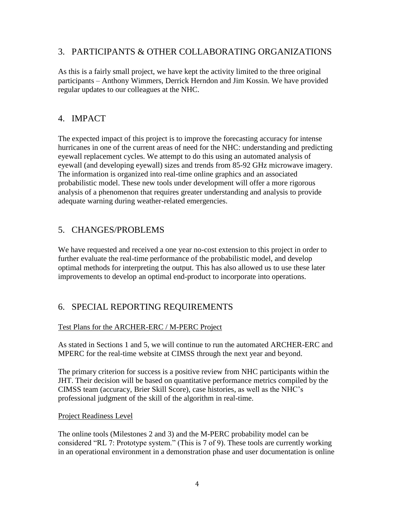#### 3. PARTICIPANTS & OTHER COLLABORATING ORGANIZATIONS

As this is a fairly small project, we have kept the activity limited to the three original participants – Anthony Wimmers, Derrick Herndon and Jim Kossin. We have provided regular updates to our colleagues at the NHC.

### 4. IMPACT

The expected impact of this project is to improve the forecasting accuracy for intense hurricanes in one of the current areas of need for the NHC: understanding and predicting eyewall replacement cycles. We attempt to do this using an automated analysis of eyewall (and developing eyewall) sizes and trends from 85-92 GHz microwave imagery. The information is organized into real-time online graphics and an associated probabilistic model. These new tools under development will offer a more rigorous analysis of a phenomenon that requires greater understanding and analysis to provide adequate warning during weather-related emergencies.

### 5. CHANGES/PROBLEMS

We have requested and received a one year no-cost extension to this project in order to further evaluate the real-time performance of the probabilistic model, and develop optimal methods for interpreting the output. This has also allowed us to use these later improvements to develop an optimal end-product to incorporate into operations.

### 6. SPECIAL REPORTING REQUIREMENTS

#### Test Plans for the ARCHER-ERC / M-PERC Project

As stated in Sections 1 and 5, we will continue to run the automated ARCHER-ERC and MPERC for the real-time website at CIMSS through the next year and beyond.

The primary criterion for success is a positive review from NHC participants within the JHT. Their decision will be based on quantitative performance metrics compiled by the CIMSS team (accuracy, Brier Skill Score), case histories, as well as the NHC's professional judgment of the skill of the algorithm in real-time.

#### Project Readiness Level

The online tools (Milestones 2 and 3) and the M-PERC probability model can be considered "RL 7: Prototype system." (This is 7 of 9). These tools are currently working in an operational environment in a demonstration phase and user documentation is online